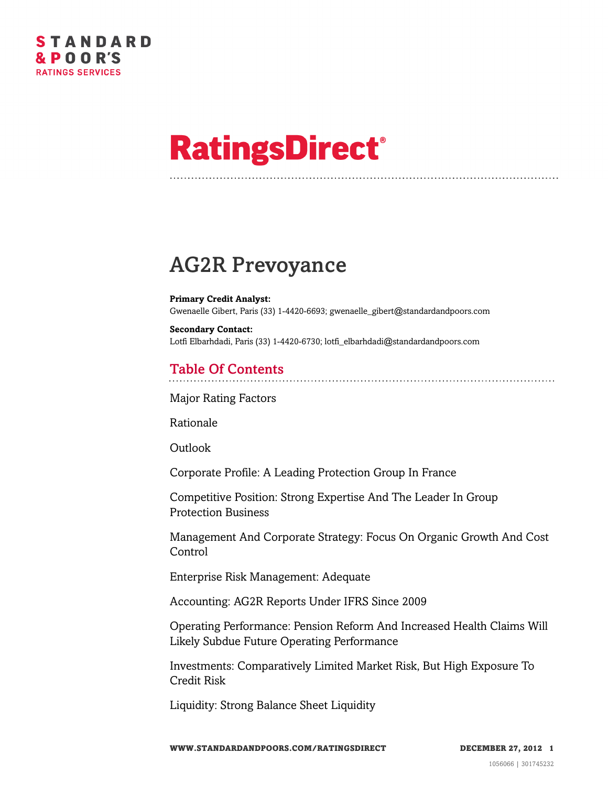# **RatingsDirect®**

# AG2R Prevoyance

**Primary Credit Analyst:** Gwenaelle Gibert, Paris (33) 1-4420-6693; gwenaelle\_gibert@standardandpoors.com

**Secondary Contact:** Lotfi Elbarhdadi, Paris (33) 1-4420-6730; lotfi\_elbarhdadi@standardandpoors.com

# Table Of Contents

[Major Rating Factors](#page-2-0)

[Rationale](#page-2-1)

[Outlook](#page-3-0)

[Corporate Profile: A Leading Protection Group In France](#page-3-1)

[Competitive Position: Strong Expertise And The Leader In Group](#page-4-0) [Protection Business](#page-4-0)

[Management And Corporate Strategy: Focus On Organic Growth And Cost](#page-5-0) [Control](#page-5-0)

[Enterprise Risk Management: Adequate](#page-6-0)

[Accounting: AG2R Reports Under IFRS Since 2009](#page-6-1)

[Operating Performance: Pension Reform And Increased Health Claims Will](#page-7-0) [Likely Subdue Future Operating Performance](#page-7-0)

[Investments: Comparatively Limited Market Risk, But High Exposure To](#page-7-1) [Credit Risk](#page-7-1)

[Liquidity: Strong Balance Sheet Liquidity](#page-8-0)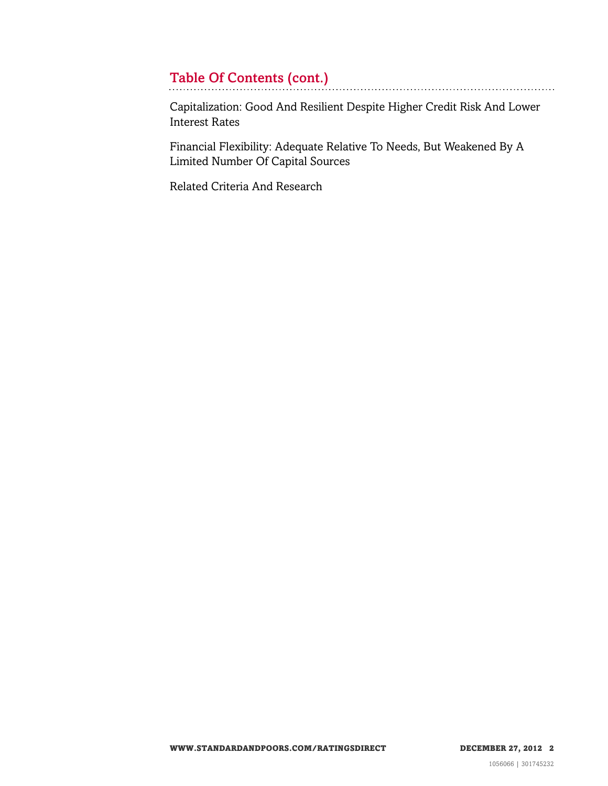# Table Of Contents (cont.)

[Capitalization: Good And Resilient Despite Higher Credit Risk And Lower](#page-9-0) [Interest Rates](#page-9-0)

[Financial Flexibility: Adequate Relative To Needs, But Weakened By A](#page-9-1) [Limited Number Of Capital Sources](#page-9-1)

[Related Criteria And Research](#page-10-0)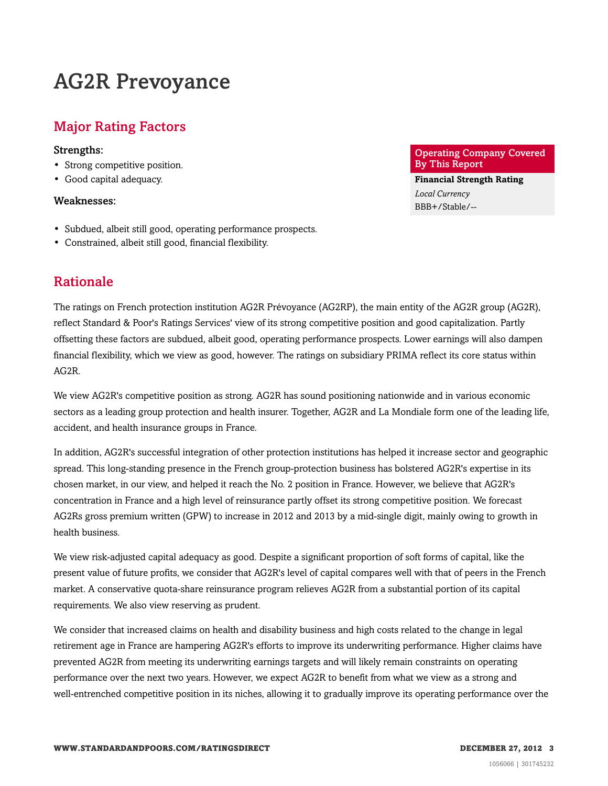# AG2R Prevoyance

# <span id="page-2-0"></span>Major Rating Factors

#### Strengths:

- Strong competitive position.
- Good capital adequacy.

#### Weaknesses:

- Subdued, albeit still good, operating performance prospects.
- <span id="page-2-1"></span>• Constrained, albeit still good, financial flexibility.

# Rationale

The ratings on French protection institution AG2R Prévoyance (AG2RP), the main entity of the AG2R group (AG2R), reflect Standard & Poor's Ratings Services' view of its strong competitive position and good capitalization. Partly offsetting these factors are subdued, albeit good, operating performance prospects. Lower earnings will also dampen financial flexibility, which we view as good, however. The ratings on subsidiary PRIMA reflect its core status within AG2R.

We view AG2R's competitive position as strong. AG2R has sound positioning nationwide and in various economic sectors as a leading group protection and health insurer. Together, AG2R and La Mondiale form one of the leading life, accident, and health insurance groups in France.

In addition, AG2R's successful integration of other protection institutions has helped it increase sector and geographic spread. This long-standing presence in the French group-protection business has bolstered AG2R's expertise in its chosen market, in our view, and helped it reach the No. 2 position in France. However, we believe that AG2R's concentration in France and a high level of reinsurance partly offset its strong competitive position. We forecast AG2Rs gross premium written (GPW) to increase in 2012 and 2013 by a mid-single digit, mainly owing to growth in health business.

We view risk-adjusted capital adequacy as good. Despite a significant proportion of soft forms of capital, like the present value of future profits, we consider that AG2R's level of capital compares well with that of peers in the French market. A conservative quota-share reinsurance program relieves AG2R from a substantial portion of its capital requirements. We also view reserving as prudent.

We consider that increased claims on health and disability business and high costs related to the change in legal retirement age in France are hampering AG2R's efforts to improve its underwriting performance. Higher claims have prevented AG2R from meeting its underwriting earnings targets and will likely remain constraints on operating performance over the next two years. However, we expect AG2R to benefit from what we view as a strong and well-entrenched competitive position in its niches, allowing it to gradually improve its operating performance over the

#### Operating Company Covered By This Report

**Financial Strength Rating** *Local Currency* BBB+/Stable/--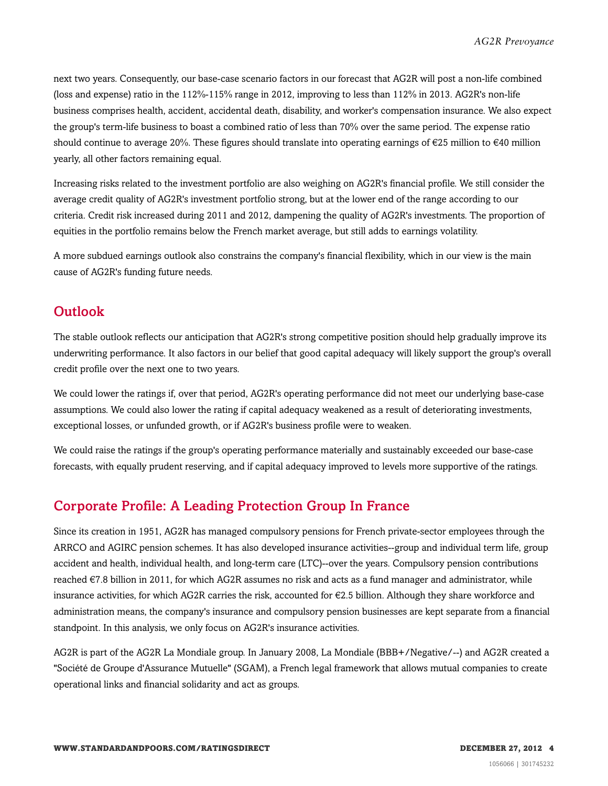next two years. Consequently, our base-case scenario factors in our forecast that AG2R will post a non-life combined (loss and expense) ratio in the 112%-115% range in 2012, improving to less than 112% in 2013. AG2R's non-life business comprises health, accident, accidental death, disability, and worker's compensation insurance. We also expect the group's term-life business to boast a combined ratio of less than 70% over the same period. The expense ratio should continue to average 20%. These figures should translate into operating earnings of  $\epsilon$ 25 million to  $\epsilon$ 40 million yearly, all other factors remaining equal.

Increasing risks related to the investment portfolio are also weighing on AG2R's financial profile. We still consider the average credit quality of AG2R's investment portfolio strong, but at the lower end of the range according to our criteria. Credit risk increased during 2011 and 2012, dampening the quality of AG2R's investments. The proportion of equities in the portfolio remains below the French market average, but still adds to earnings volatility.

A more subdued earnings outlook also constrains the company's financial flexibility, which in our view is the main cause of AG2R's funding future needs.

## <span id="page-3-0"></span>**Outlook**

The stable outlook reflects our anticipation that AG2R's strong competitive position should help gradually improve its underwriting performance. It also factors in our belief that good capital adequacy will likely support the group's overall credit profile over the next one to two years.

We could lower the ratings if, over that period, AG2R's operating performance did not meet our underlying base-case assumptions. We could also lower the rating if capital adequacy weakened as a result of deteriorating investments, exceptional losses, or unfunded growth, or if AG2R's business profile were to weaken.

We could raise the ratings if the group's operating performance materially and sustainably exceeded our base-case forecasts, with equally prudent reserving, and if capital adequacy improved to levels more supportive of the ratings.

# <span id="page-3-1"></span>Corporate Profile: A Leading Protection Group In France

Since its creation in 1951, AG2R has managed compulsory pensions for French private-sector employees through the ARRCO and AGIRC pension schemes. It has also developed insurance activities--group and individual term life, group accident and health, individual health, and long-term care (LTC)--over the years. Compulsory pension contributions reached €7.8 billion in 2011, for which AG2R assumes no risk and acts as a fund manager and administrator, while insurance activities, for which AG2R carries the risk, accounted for €2.5 billion. Although they share workforce and administration means, the company's insurance and compulsory pension businesses are kept separate from a financial standpoint. In this analysis, we only focus on AG2R's insurance activities.

AG2R is part of the AG2R La Mondiale group. In January 2008, La Mondiale (BBB+/Negative/--) and AG2R created a "Société de Groupe d'Assurance Mutuelle" (SGAM), a French legal framework that allows mutual companies to create operational links and financial solidarity and act as groups.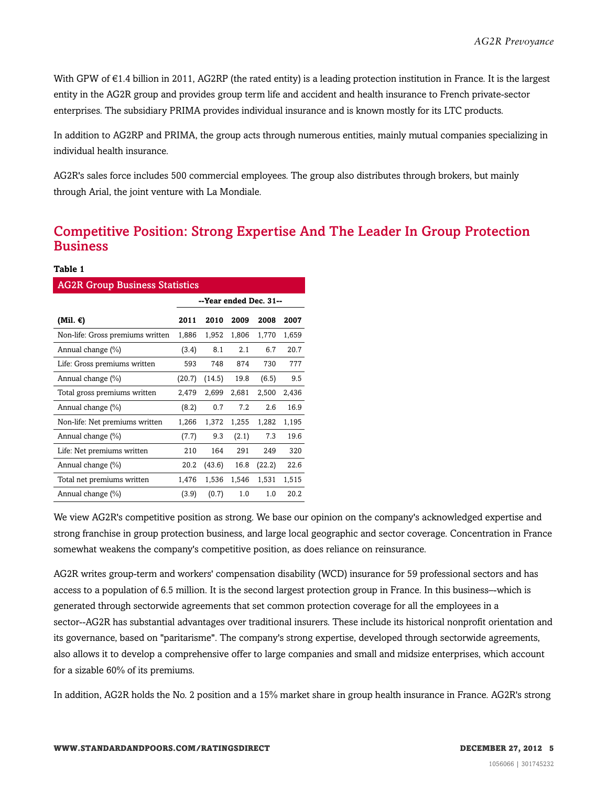With GPW of  $\epsilon$ 1.4 billion in 2011, AG2RP (the rated entity) is a leading protection institution in France. It is the largest entity in the AG2R group and provides group term life and accident and health insurance to French private-sector enterprises. The subsidiary PRIMA provides individual insurance and is known mostly for its LTC products.

In addition to AG2RP and PRIMA, the group acts through numerous entities, mainly mutual companies specializing in individual health insurance.

AG2R's sales force includes 500 commercial employees. The group also distributes through brokers, but mainly through Arial, the joint venture with La Mondiale.

# <span id="page-4-0"></span>Competitive Position: Strong Expertise And The Leader In Group Protection **Business**

#### **Table 1**

| <b>AG2R Group Business Statistics</b> |                        |        |       |        |       |
|---------------------------------------|------------------------|--------|-------|--------|-------|
|                                       | --Year ended Dec. 31-- |        |       |        |       |
| (Mil. €)                              | 2011                   | 2010   | 2009  | 2008   | 2007  |
| Non-life: Gross premiums written      | 1,886                  | 1,952  | 1,806 | 1,770  | 1,659 |
| Annual change (%)                     | (3.4)                  | 8.1    | 2.1   | 6.7    | 20.7  |
| Life: Gross premiums written          | 593                    | 748    | 874   | 730    | 777   |
| Annual change (%)                     | (20.7)                 | (14.5) | 19.8  | (6.5)  | 9.5   |
| Total gross premiums written          | 2,479                  | 2,699  | 2,681 | 2,500  | 2,436 |
| Annual change (%)                     | (8.2)                  | 0.7    | 7.2   | 2.6    | 16.9  |
| Non-life: Net premiums written        | 1,266                  | 1,372  | 1,255 | 1,282  | 1,195 |
| Annual change (%)                     | (7.7)                  | 9.3    | (2.1) | 7.3    | 19.6  |
| Life: Net premiums written            | 210                    | 164    | 291   | 249    | 320   |
| Annual change (%)                     | 20.2                   | (43.6) | 16.8  | (22.2) | 22.6  |
| Total net premiums written            | 1,476                  | 1,536  | 1,546 | 1,531  | 1,515 |
| Annual change (%)                     | (3.9)                  | (0.7)  | 1.0   | 1.0    | 20.2  |

We view AG2R's competitive position as strong. We base our opinion on the company's acknowledged expertise and strong franchise in group protection business, and large local geographic and sector coverage. Concentration in France somewhat weakens the company's competitive position, as does reliance on reinsurance.

AG2R writes group-term and workers' compensation disability (WCD) insurance for 59 professional sectors and has access to a population of 6.5 million. It is the second largest protection group in France. In this business–-which is generated through sectorwide agreements that set common protection coverage for all the employees in a sector--AG2R has substantial advantages over traditional insurers. These include its historical nonprofit orientation and its governance, based on "paritarisme". The company's strong expertise, developed through sectorwide agreements, also allows it to develop a comprehensive offer to large companies and small and midsize enterprises, which account for a sizable 60% of its premiums.

In addition, AG2R holds the No. 2 position and a 15% market share in group health insurance in France. AG2R's strong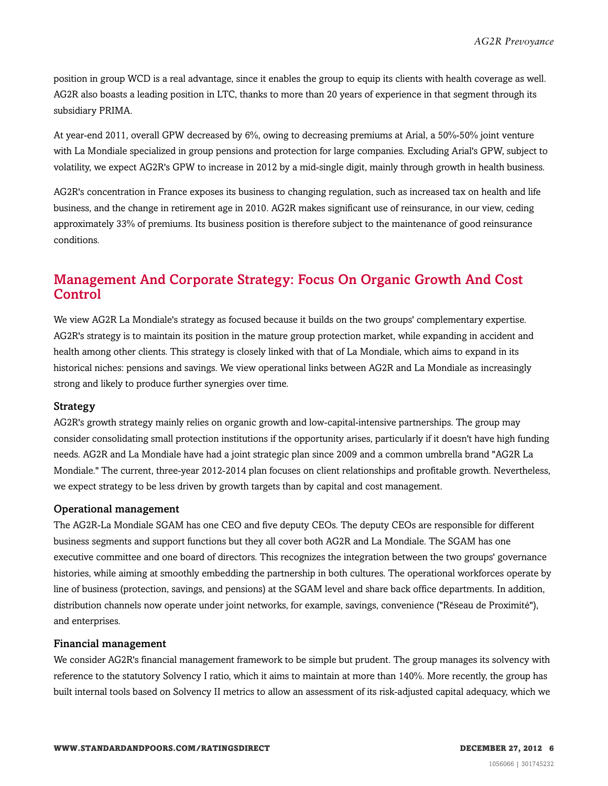position in group WCD is a real advantage, since it enables the group to equip its clients with health coverage as well. AG2R also boasts a leading position in LTC, thanks to more than 20 years of experience in that segment through its subsidiary PRIMA.

At year-end 2011, overall GPW decreased by 6%, owing to decreasing premiums at Arial, a 50%-50% joint venture with La Mondiale specialized in group pensions and protection for large companies. Excluding Arial's GPW, subject to volatility, we expect AG2R's GPW to increase in 2012 by a mid-single digit, mainly through growth in health business.

AG2R's concentration in France exposes its business to changing regulation, such as increased tax on health and life business, and the change in retirement age in 2010. AG2R makes significant use of reinsurance, in our view, ceding approximately 33% of premiums. Its business position is therefore subject to the maintenance of good reinsurance conditions.

# <span id="page-5-0"></span>Management And Corporate Strategy: Focus On Organic Growth And Cost Control

We view AG2R La Mondiale's strategy as focused because it builds on the two groups' complementary expertise. AG2R's strategy is to maintain its position in the mature group protection market, while expanding in accident and health among other clients. This strategy is closely linked with that of La Mondiale, which aims to expand in its historical niches: pensions and savings. We view operational links between AG2R and La Mondiale as increasingly strong and likely to produce further synergies over time.

#### Strategy

AG2R's growth strategy mainly relies on organic growth and low-capital-intensive partnerships. The group may consider consolidating small protection institutions if the opportunity arises, particularly if it doesn't have high funding needs. AG2R and La Mondiale have had a joint strategic plan since 2009 and a common umbrella brand "AG2R La Mondiale." The current, three-year 2012-2014 plan focuses on client relationships and profitable growth. Nevertheless, we expect strategy to be less driven by growth targets than by capital and cost management.

#### Operational management

The AG2R-La Mondiale SGAM has one CEO and five deputy CEOs. The deputy CEOs are responsible for different business segments and support functions but they all cover both AG2R and La Mondiale. The SGAM has one executive committee and one board of directors. This recognizes the integration between the two groups' governance histories, while aiming at smoothly embedding the partnership in both cultures. The operational workforces operate by line of business (protection, savings, and pensions) at the SGAM level and share back office departments. In addition, distribution channels now operate under joint networks, for example, savings, convenience ("Réseau de Proximité"), and enterprises.

#### Financial management

We consider AG2R's financial management framework to be simple but prudent. The group manages its solvency with reference to the statutory Solvency I ratio, which it aims to maintain at more than 140%. More recently, the group has built internal tools based on Solvency II metrics to allow an assessment of its risk-adjusted capital adequacy, which we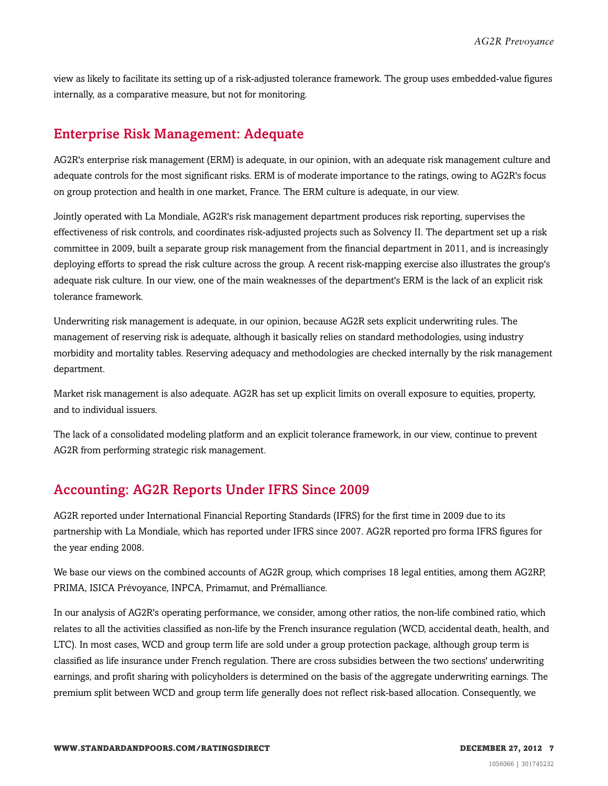view as likely to facilitate its setting up of a risk-adjusted tolerance framework. The group uses embedded-value figures internally, as a comparative measure, but not for monitoring.

### <span id="page-6-0"></span>Enterprise Risk Management: Adequate

AG2R's enterprise risk management (ERM) is adequate, in our opinion, with an adequate risk management culture and adequate controls for the most significant risks. ERM is of moderate importance to the ratings, owing to AG2R's focus on group protection and health in one market, France. The ERM culture is adequate, in our view.

Jointly operated with La Mondiale, AG2R's risk management department produces risk reporting, supervises the effectiveness of risk controls, and coordinates risk-adjusted projects such as Solvency II. The department set up a risk committee in 2009, built a separate group risk management from the financial department in 2011, and is increasingly deploying efforts to spread the risk culture across the group. A recent risk-mapping exercise also illustrates the group's adequate risk culture. In our view, one of the main weaknesses of the department's ERM is the lack of an explicit risk tolerance framework.

Underwriting risk management is adequate, in our opinion, because AG2R sets explicit underwriting rules. The management of reserving risk is adequate, although it basically relies on standard methodologies, using industry morbidity and mortality tables. Reserving adequacy and methodologies are checked internally by the risk management department.

Market risk management is also adequate. AG2R has set up explicit limits on overall exposure to equities, property, and to individual issuers.

The lack of a consolidated modeling platform and an explicit tolerance framework, in our view, continue to prevent AG2R from performing strategic risk management.

### <span id="page-6-1"></span>Accounting: AG2R Reports Under IFRS Since 2009

AG2R reported under International Financial Reporting Standards (IFRS) for the first time in 2009 due to its partnership with La Mondiale, which has reported under IFRS since 2007. AG2R reported pro forma IFRS figures for the year ending 2008.

We base our views on the combined accounts of AG2R group, which comprises 18 legal entities, among them AG2RP, PRIMA, ISICA Prévoyance, INPCA, Primamut, and Prémalliance.

In our analysis of AG2R's operating performance, we consider, among other ratios, the non-life combined ratio, which relates to all the activities classified as non-life by the French insurance regulation (WCD, accidental death, health, and LTC). In most cases, WCD and group term life are sold under a group protection package, although group term is classified as life insurance under French regulation. There are cross subsidies between the two sections' underwriting earnings, and profit sharing with policyholders is determined on the basis of the aggregate underwriting earnings. The premium split between WCD and group term life generally does not reflect risk-based allocation. Consequently, we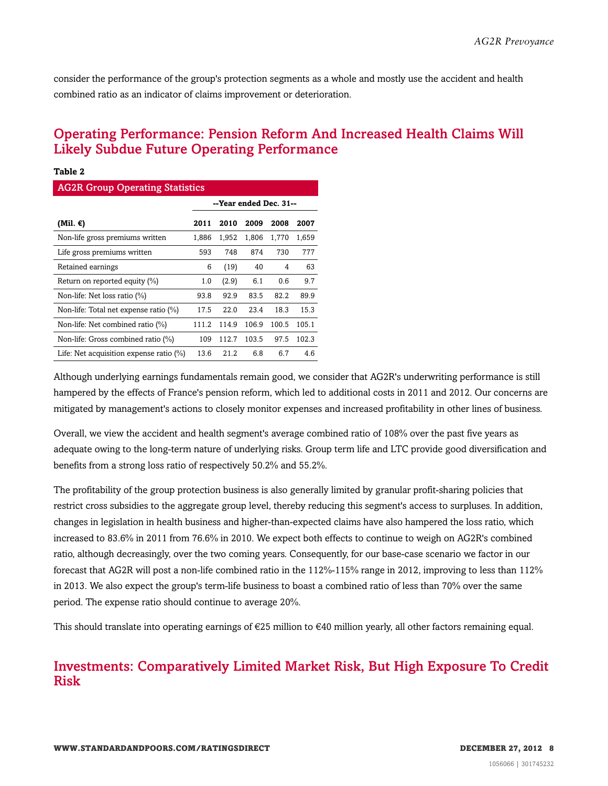consider the performance of the group's protection segments as a whole and mostly use the accident and health combined ratio as an indicator of claims improvement or deterioration.

# <span id="page-7-0"></span>Operating Performance: Pension Reform And Increased Health Claims Will Likely Subdue Future Operating Performance

#### **Table 2**

| <b>AG2R Group Operating Statistics</b>     |                        |       |       |       |       |
|--------------------------------------------|------------------------|-------|-------|-------|-------|
|                                            | --Year ended Dec. 31-- |       |       |       |       |
| (Mil. €)                                   | 2011                   | 2010  | 2009  | 2008  | 2007  |
| Non-life gross premiums written            | 1,886                  | 1,952 | 1,806 | 1,770 | 1,659 |
| Life gross premiums written                | 593                    | 748   | 874   | 730   | 777   |
| Retained earnings                          | 6                      | (19)  | 40    | 4     | 63    |
| Return on reported equity $(\%)$           | 1.0                    | (2.9) | 6.1   | 0.6   | 9.7   |
| Non-life: Net loss ratio $(\%)$            | 93.8                   | 92.9  | 83.5  | 82.2  | 89.9  |
| Non-life: Total net expense ratio (%)      | 17.5                   | 22.0  | 23.4  | 18.3  | 15.3  |
| Non-life: Net combined ratio (%)           | 111.2                  | 114.9 | 106.9 | 100.5 | 105.1 |
| Non-life: Gross combined ratio (%)         | 109                    | 112.7 | 103.5 | 97.5  | 102.3 |
| Life: Net acquisition expense ratio $(\%)$ | 13.6                   | 21.2  | 6.8   | 6.7   | 4.6   |

Although underlying earnings fundamentals remain good, we consider that AG2R's underwriting performance is still hampered by the effects of France's pension reform, which led to additional costs in 2011 and 2012. Our concerns are mitigated by management's actions to closely monitor expenses and increased profitability in other lines of business.

Overall, we view the accident and health segment's average combined ratio of 108% over the past five years as adequate owing to the long-term nature of underlying risks. Group term life and LTC provide good diversification and benefits from a strong loss ratio of respectively 50.2% and 55.2%.

The profitability of the group protection business is also generally limited by granular profit-sharing policies that restrict cross subsidies to the aggregate group level, thereby reducing this segment's access to surpluses. In addition, changes in legislation in health business and higher-than-expected claims have also hampered the loss ratio, which increased to 83.6% in 2011 from 76.6% in 2010. We expect both effects to continue to weigh on AG2R's combined ratio, although decreasingly, over the two coming years. Consequently, for our base-case scenario we factor in our forecast that AG2R will post a non-life combined ratio in the 112%-115% range in 2012, improving to less than 112% in 2013. We also expect the group's term-life business to boast a combined ratio of less than 70% over the same period. The expense ratio should continue to average 20%.

<span id="page-7-1"></span>This should translate into operating earnings of  $\epsilon$ 25 million to  $\epsilon$ 40 million yearly, all other factors remaining equal.

# Investments: Comparatively Limited Market Risk, But High Exposure To Credit Risk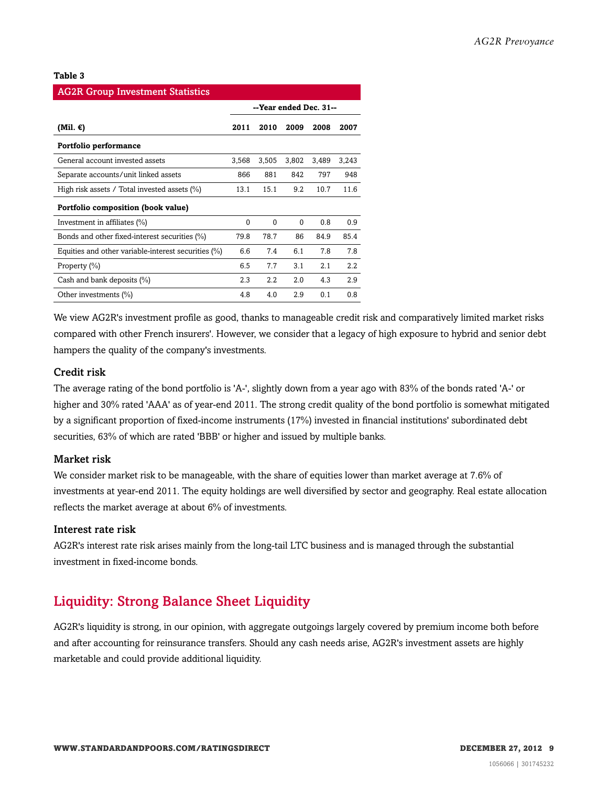#### **Table 3**

| <b>AG2R Group Investment Statistics</b>                |                        |          |          |       |       |
|--------------------------------------------------------|------------------------|----------|----------|-------|-------|
|                                                        | --Year ended Dec. 31-- |          |          |       |       |
| (Mil. €)                                               | 2011                   | 2010     | 2009     | 2008  | 2007  |
| Portfolio performance                                  |                        |          |          |       |       |
| General account invested assets                        | 3,568                  | 3,505    | 3,802    | 3,489 | 3,243 |
| Separate accounts/unit linked assets                   | 866                    | 881      | 842      | 797   | 948   |
| High risk assets / Total invested assets $(\%)$        | 13.1                   | 15.1     | 9.2      | 10.7  | 11.6  |
| Portfolio composition (book value)                     |                        |          |          |       |       |
| Investment in affiliates (%)                           | $\Omega$               | $\theta$ | $\Omega$ | 0.8   | 0.9   |
| Bonds and other fixed-interest securities (%)          | 79.8                   | 78.7     | 86       | 84.9  | 85.4  |
| Equities and other variable-interest securities $(\%)$ | 6.6                    | 7.4      | 6.1      | 7.8   | 7.8   |
| Property (%)                                           | 6.5                    | 7.7      | 3.1      | 2.1   | 2.2   |
| Cash and bank deposits (%)                             | 2.3                    | 2.2      | 2.0      | 4.3   | 2.9   |
| Other investments $(\%)$                               | 4.8                    | 4.0      | 2.9      | 0.1   | 0.8   |

We view AG2R's investment profile as good, thanks to manageable credit risk and comparatively limited market risks compared with other French insurers'. However, we consider that a legacy of high exposure to hybrid and senior debt hampers the quality of the company's investments.

#### Credit risk

The average rating of the bond portfolio is 'A-', slightly down from a year ago with 83% of the bonds rated 'A-' or higher and 30% rated 'AAA' as of year-end 2011. The strong credit quality of the bond portfolio is somewhat mitigated by a significant proportion of fixed-income instruments (17%) invested in financial institutions' subordinated debt securities, 63% of which are rated 'BBB' or higher and issued by multiple banks.

#### Market risk

We consider market risk to be manageable, with the share of equities lower than market average at 7.6% of investments at year-end 2011. The equity holdings are well diversified by sector and geography. Real estate allocation reflects the market average at about 6% of investments.

#### Interest rate risk

AG2R's interest rate risk arises mainly from the long-tail LTC business and is managed through the substantial investment in fixed-income bonds.

# <span id="page-8-0"></span>Liquidity: Strong Balance Sheet Liquidity

AG2R's liquidity is strong, in our opinion, with aggregate outgoings largely covered by premium income both before and after accounting for reinsurance transfers. Should any cash needs arise, AG2R's investment assets are highly marketable and could provide additional liquidity.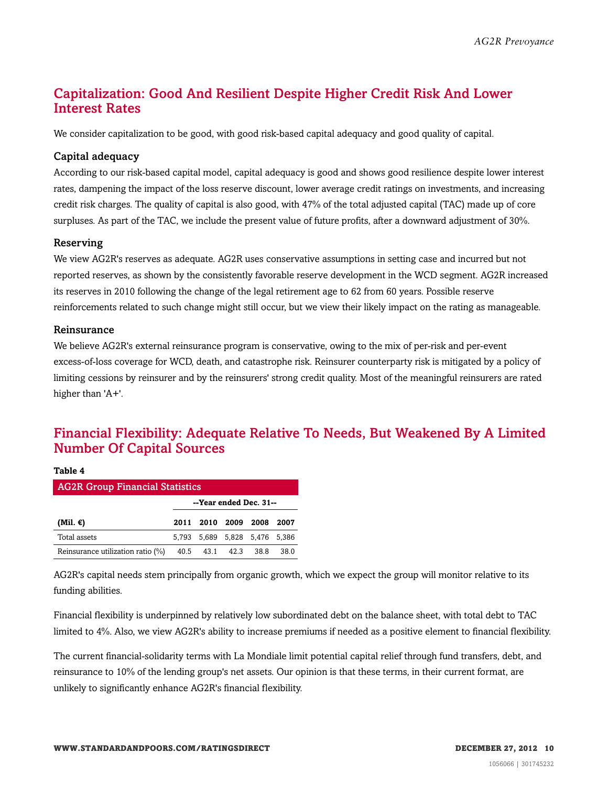# <span id="page-9-0"></span>Capitalization: Good And Resilient Despite Higher Credit Risk And Lower Interest Rates

We consider capitalization to be good, with good risk-based capital adequacy and good quality of capital.

#### Capital adequacy

According to our risk-based capital model, capital adequacy is good and shows good resilience despite lower interest rates, dampening the impact of the loss reserve discount, lower average credit ratings on investments, and increasing credit risk charges. The quality of capital is also good, with 47% of the total adjusted capital (TAC) made up of core surpluses. As part of the TAC, we include the present value of future profits, after a downward adjustment of 30%.

#### Reserving

We view AG2R's reserves as adequate. AG2R uses conservative assumptions in setting case and incurred but not reported reserves, as shown by the consistently favorable reserve development in the WCD segment. AG2R increased its reserves in 2010 following the change of the legal retirement age to 62 from 60 years. Possible reserve reinforcements related to such change might still occur, but we view their likely impact on the rating as manageable.

#### Reinsurance

We believe AG2R's external reinsurance program is conservative, owing to the mix of per-risk and per-event excess-of-loss coverage for WCD, death, and catastrophe risk. Reinsurer counterparty risk is mitigated by a policy of limiting cessions by reinsurer and by the reinsurers' strong credit quality. Most of the meaningful reinsurers are rated higher than 'A+'.

# <span id="page-9-1"></span>Financial Flexibility: Adequate Relative To Needs, But Weakened By A Limited Number Of Capital Sources

| ×<br>٠<br>v<br>I<br>٩ |  |
|-----------------------|--|
|-----------------------|--|

| <b>AG2R Group Financial Statistics</b> |                        |                               |  |      |      |
|----------------------------------------|------------------------|-------------------------------|--|------|------|
|                                        | --Year ended Dec. 31-- |                               |  |      |      |
| (Mil. $\epsilon$ )                     |                        | 2011 2010 2009 2008           |  |      | 2007 |
| Total assets                           |                        | 5,793 5,689 5,828 5,476 5,386 |  |      |      |
| Reinsurance utilization ratio (%)      |                        | 40.5 43.1 42.3                |  | 38.8 | 38.0 |

AG2R's capital needs stem principally from organic growth, which we expect the group will monitor relative to its funding abilities.

Financial flexibility is underpinned by relatively low subordinated debt on the balance sheet, with total debt to TAC limited to 4%. Also, we view AG2R's ability to increase premiums if needed as a positive element to financial flexibility.

The current financial-solidarity terms with La Mondiale limit potential capital relief through fund transfers, debt, and reinsurance to 10% of the lending group's net assets. Our opinion is that these terms, in their current format, are unlikely to significantly enhance AG2R's financial flexibility.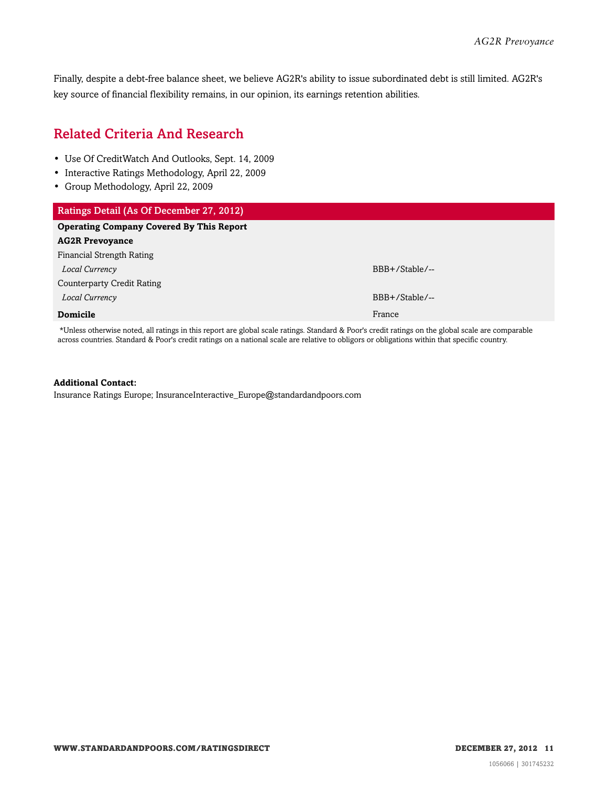Finally, despite a debt-free balance sheet, we believe AG2R's ability to issue subordinated debt is still limited. AG2R's key source of financial flexibility remains, in our opinion, its earnings retention abilities.

# <span id="page-10-0"></span>Related Criteria And Research

- Use Of CreditWatch And Outlooks, Sept. 14, 2009
- Interactive Ratings Methodology, April 22, 2009
- Group Methodology, April 22, 2009

| Ratings Detail (As Of December 27, 2012)        |                |
|-------------------------------------------------|----------------|
| <b>Operating Company Covered By This Report</b> |                |
| <b>AG2R Prevoyance</b>                          |                |
| Financial Strength Rating                       |                |
| Local Currency                                  | BBB+/Stable/-- |
| Counterparty Credit Rating                      |                |
| Local Currency                                  | BBB+/Stable/-- |
| <b>Domicile</b>                                 | France         |
|                                                 |                |

\*Unless otherwise noted, all ratings in this report are global scale ratings. Standard & Poor's credit ratings on the global scale are comparable across countries. Standard & Poor's credit ratings on a national scale are relative to obligors or obligations within that specific country.

#### **Additional Contact:**

Insurance Ratings Europe; InsuranceInteractive\_Europe@standardandpoors.com